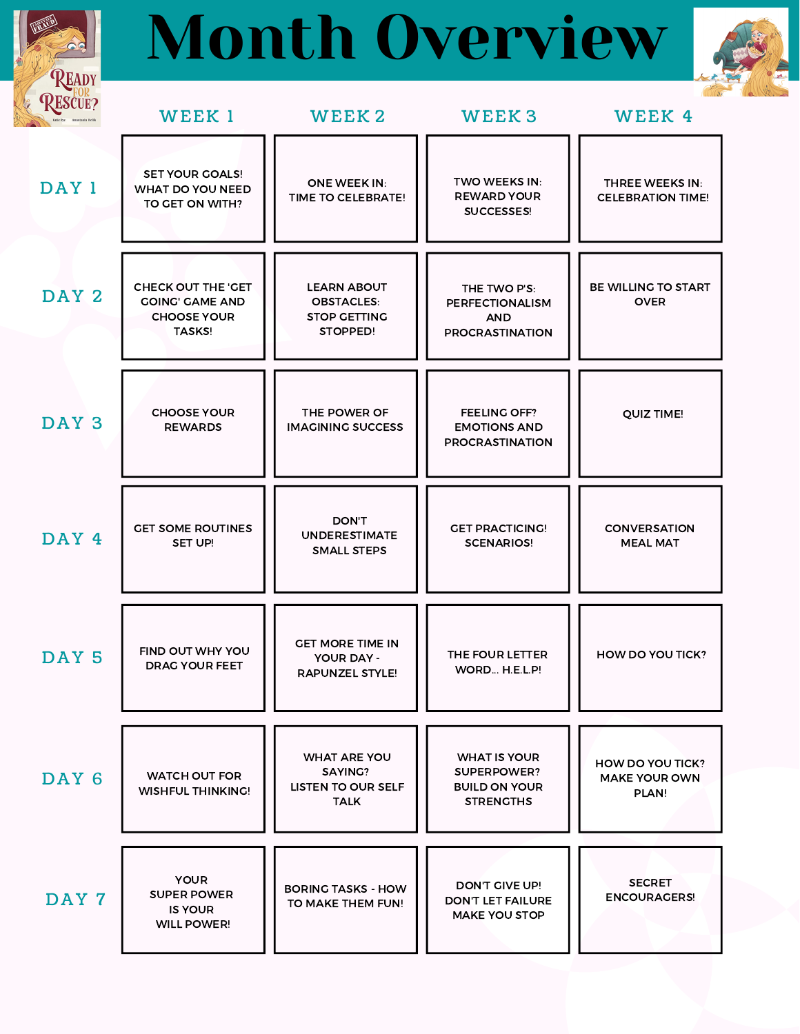## Month Overview

READY



| <b>RESCUE?</b>   | WEEK 1                                                                              | WEEK 2                                                                     | WEEK <sub>3</sub>                                                              | WEEK 4                                                   |
|------------------|-------------------------------------------------------------------------------------|----------------------------------------------------------------------------|--------------------------------------------------------------------------------|----------------------------------------------------------|
| DAY 1            | <b>SET YOUR GOALS!</b><br>WHAT DO YOU NEED<br>TO GET ON WITH?                       | <b>ONE WEEK IN:</b><br>TIME TO CELEBRATE!                                  | <b>TWO WEEKS IN:</b><br><b>REWARD YOUR</b><br>SUCCESSES!                       | THREE WEEKS IN:<br><b>CELEBRATION TIME!</b>              |
| DAY <sub>2</sub> | CHECK OUT THE 'GET<br><b>GOING' GAME AND</b><br><b>CHOOSE YOUR</b><br><b>TASKS!</b> | <b>LEARN ABOUT</b><br><b>OBSTACLES:</b><br><b>STOP GETTING</b><br>STOPPED! | THE TWO P'S:<br><b>PERFECTIONALISM</b><br><b>AND</b><br><b>PROCRASTINATION</b> | BE WILLING TO START<br><b>OVER</b>                       |
| DAY <sub>3</sub> | <b>CHOOSE YOUR</b><br><b>REWARDS</b>                                                | THE POWER OF<br><b>IMAGINING SUCCESS</b>                                   | <b>FEELING OFF?</b><br><b>EMOTIONS AND</b><br><b>PROCRASTINATION</b>           | <b>QUIZ TIME!</b>                                        |
| DAY 4            | <b>GET SOME ROUTINES</b><br>SET UP!                                                 | <b>DON'T</b><br><b>UNDERESTIMATE</b><br><b>SMALL STEPS</b>                 | <b>GET PRACTICING!</b><br><b>SCENARIOS!</b>                                    | <b>CONVERSATION</b><br><b>MEAL MAT</b>                   |
| DAY 5            | FIND OUT WHY YOU<br><b>DRAG YOUR FEET</b>                                           | <b>GET MORE TIME IN</b><br><b>YOUR DAY -</b><br><b>RAPUNZEL STYLE!</b>     | THE FOUR LETTER<br>WORD H.E.L.P!                                               | HOW DO YOU TICK?                                         |
| DAY <sub>6</sub> | <b>WATCH OUT FOR</b><br><b>WISHFUL THINKING!</b>                                    | <b>WHAT ARE YOU</b><br>SAYING?<br><b>LISTEN TO OUR SELF</b><br><b>TALK</b> | <b>WHAT IS YOUR</b><br>SUPERPOWER?<br><b>BUILD ON YOUR</b><br><b>STRENGTHS</b> | <b>HOW DO YOU TICK?</b><br><b>MAKE YOUR OWN</b><br>PLAN! |
| DAY 7            | <b>YOUR</b><br><b>SUPER POWER</b><br><b>IS YOUR</b><br><b>WILL POWER!</b>           | <b>BORING TASKS - HOW</b><br>TO MAKE THEM FUN!                             | DON'T GIVE UP!<br><b>DON'T LET FAILURE</b><br><b>MAKE YOU STOP</b>             | <b>SECRET</b><br><b>ENCOURAGERS!</b>                     |